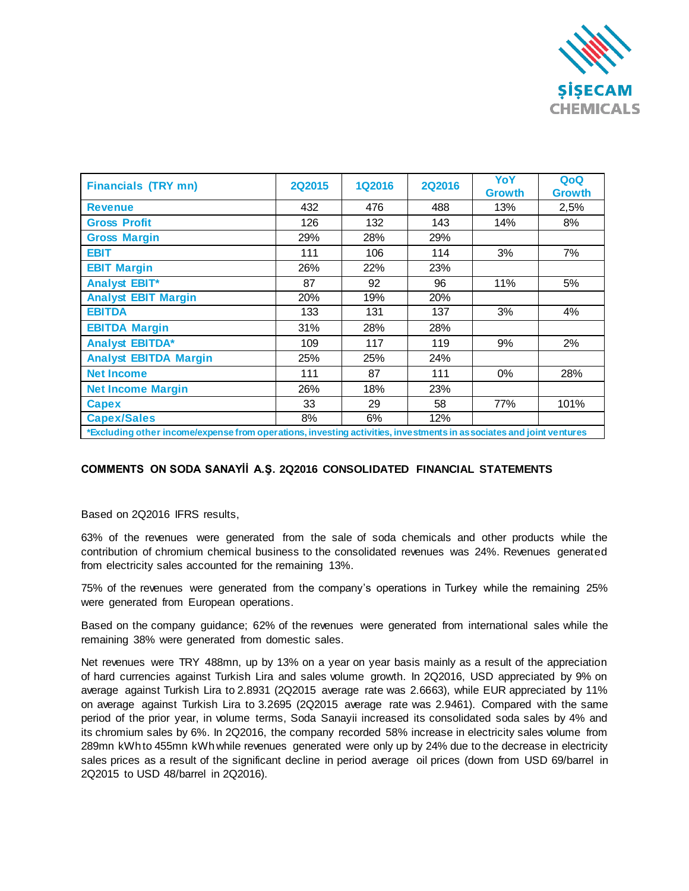

| <b>Financials (TRY mn)</b>                                                                                          | <b>2Q2015</b> | 1Q2016 | <b>2Q2016</b> | YoY<br><b>Growth</b> | QoQ<br><b>Growth</b> |
|---------------------------------------------------------------------------------------------------------------------|---------------|--------|---------------|----------------------|----------------------|
| <b>Revenue</b>                                                                                                      | 432           | 476    | 488           | 13%                  | 2,5%                 |
| <b>Gross Profit</b>                                                                                                 | 126           | 132    | 143           | 14%                  | 8%                   |
| <b>Gross Margin</b>                                                                                                 | 29%           | 28%    | 29%           |                      |                      |
| <b>EBIT</b>                                                                                                         | 111           | 106    | 114           | 3%                   | 7%                   |
| <b>EBIT Margin</b>                                                                                                  | 26%           | 22%    | 23%           |                      |                      |
| <b>Analyst EBIT*</b>                                                                                                | 87            | 92     | 96            | 11%                  | 5%                   |
| <b>Analyst EBIT Margin</b>                                                                                          | 20%           | 19%    | 20%           |                      |                      |
| <b>EBITDA</b>                                                                                                       | 133           | 131    | 137           | 3%                   | 4%                   |
| <b>EBITDA Margin</b>                                                                                                | 31%           | 28%    | 28%           |                      |                      |
| <b>Analyst EBITDA*</b>                                                                                              | 109           | 117    | 119           | 9%                   | 2%                   |
| <b>Analyst EBITDA Margin</b>                                                                                        | 25%           | 25%    | 24%           |                      |                      |
| <b>Net Income</b>                                                                                                   | 111           | 87     | 111           | $0\%$                | 28%                  |
| <b>Net Income Margin</b>                                                                                            | 26%           | 18%    | 23%           |                      |                      |
| <b>Capex</b>                                                                                                        | 33            | 29     | 58            | 77%                  | 101%                 |
| <b>Capex/Sales</b>                                                                                                  | 8%            | 6%     | 12%           |                      |                      |
| *Excluding other income/expense from operations, investing activities, investments in associates and joint ventures |               |        |               |                      |                      |

## **COMMENTS ON SODA SANAYİİ A.Ş. 2Q2016 CONSOLIDATED FINANCIAL STATEMENTS**

Based on 2Q2016 IFRS results,

63% of the revenues were generated from the sale of soda chemicals and other products while the contribution of chromium chemical business to the consolidated revenues was 24%. Revenues generated from electricity sales accounted for the remaining 13%.

75% of the revenues were generated from the company's operations in Turkey while the remaining 25% were generated from European operations.

Based on the company guidance; 62% of the revenues were generated from international sales while the remaining 38% were generated from domestic sales.

Net revenues were TRY 488mn, up by 13% on a year on year basis mainly as a result of the appreciation of hard currencies against Turkish Lira and sales volume growth. In 2Q2016, USD appreciated by 9% on average against Turkish Lira to 2.8931 (2Q2015 average rate was 2.6663), while EUR appreciated by 11% on average against Turkish Lira to 3.2695 (2Q2015 average rate was 2.9461). Compared with the same period of the prior year, in volume terms, Soda Sanayii increased its consolidated soda sales by 4% and its chromium sales by 6%. In 2Q2016, the company recorded 58% increase in electricity sales volume from 289mn kWh to 455mn kWh while revenues generated were only up by 24% due to the decrease in electricity sales prices as a result of the significant decline in period average oil prices (down from USD 69/barrel in 2Q2015 to USD 48/barrel in 2Q2016).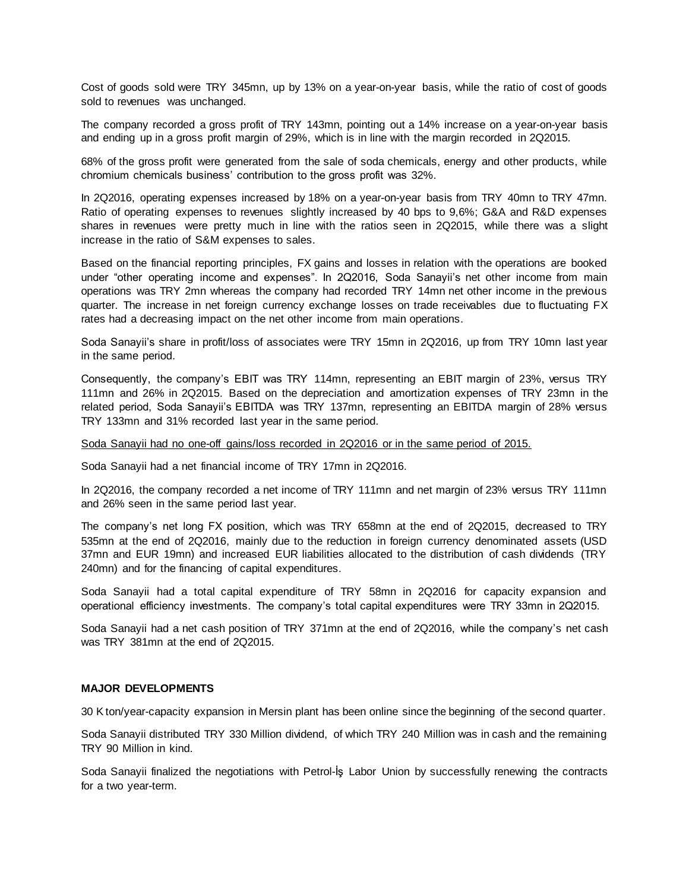Cost of goods sold were TRY 345mn, up by 13% on a year-on-year basis, while the ratio of cost of goods sold to revenues was unchanged.

The company recorded a gross profit of TRY 143mn, pointing out a 14% increase on a year-on-year basis and ending up in a gross profit margin of 29%, which is in line with the margin recorded in 2Q2015.

68% of the gross profit were generated from the sale of soda chemicals, energy and other products, while chromium chemicals business' contribution to the gross profit was 32%.

In 2Q2016, operating expenses increased by 18% on a year-on-year basis from TRY 40mn to TRY 47mn. Ratio of operating expenses to revenues slightly increased by 40 bps to 9,6%; G&A and R&D expenses shares in revenues were pretty much in line with the ratios seen in 2Q2015, while there was a slight increase in the ratio of S&M expenses to sales.

Based on the financial reporting principles, FX gains and losses in relation with the operations are booked under "other operating income and expenses". In 2Q2016, Soda Sanayii's net other income from main operations was TRY 2mn whereas the company had recorded TRY 14mn net other income in the previous quarter. The increase in net foreign currency exchange losses on trade receivables due to fluctuating FX rates had a decreasing impact on the net other income from main operations.

Soda Sanayii's share in profit/loss of associates were TRY 15mn in 2Q2016, up from TRY 10mn last year in the same period.

Consequently, the company's EBIT was TRY 114mn, representing an EBIT margin of 23%, versus TRY 111mn and 26% in 2Q2015. Based on the depreciation and amortization expenses of TRY 23mn in the related period, Soda Sanayii's EBITDA was TRY 137mn, representing an EBITDA margin of 28% versus TRY 133mn and 31% recorded last year in the same period.

Soda Sanayii had no one-off gains/loss recorded in 2Q2016 or in the same period of 2015.

Soda Sanayii had a net financial income of TRY 17mn in 2Q2016.

In 2Q2016, the company recorded a net income of TRY 111mn and net margin of 23% versus TRY 111mn and 26% seen in the same period last year.

The company's net long FX position, which was TRY 658mn at the end of 2Q2015, decreased to TRY 535mn at the end of 2Q2016, mainly due to the reduction in foreign currency denominated assets (USD 37mn and EUR 19mn) and increased EUR liabilities allocated to the distribution of cash dividends (TRY 240mn) and for the financing of capital expenditures.

Soda Sanayii had a total capital expenditure of TRY 58mn in 2Q2016 for capacity expansion and operational efficiency investments. The company's total capital expenditures were TRY 33mn in 2Q2015.

Soda Sanayii had a net cash position of TRY 371mn at the end of 2Q2016, while the company's net cash was TRY 381mn at the end of 2Q2015.

## **MAJOR DEVELOPMENTS**

30 K ton/year-capacity expansion in Mersin plant has been online since the beginning of the second quarter.

Soda Sanayii distributed TRY 330 Million dividend, of which TRY 240 Million was in cash and the remaining TRY 90 Million in kind.

Soda Sanayii finalized the negotiations with Petrol-İş Labor Union by successfully renewing the contracts for a two year-term.